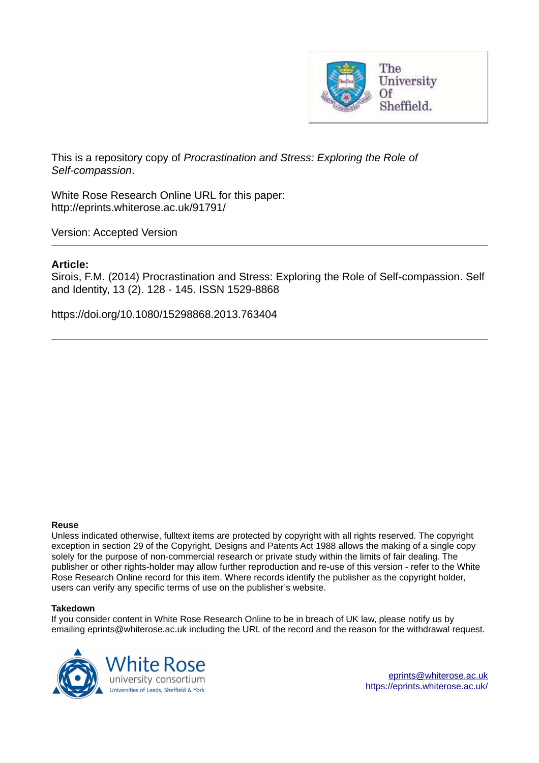

This is a repository copy of *Procrastination and Stress: Exploring the Role of Self-compassion*.

White Rose Research Online URL for this paper: http://eprints.whiterose.ac.uk/91791/

Version: Accepted Version

## **Article:**

Sirois, F.M. (2014) Procrastination and Stress: Exploring the Role of Self-compassion. Self and Identity, 13 (2). 128 - 145. ISSN 1529-8868

https://doi.org/10.1080/15298868.2013.763404

#### **Reuse**

Unless indicated otherwise, fulltext items are protected by copyright with all rights reserved. The copyright exception in section 29 of the Copyright, Designs and Patents Act 1988 allows the making of a single copy solely for the purpose of non-commercial research or private study within the limits of fair dealing. The publisher or other rights-holder may allow further reproduction and re-use of this version - refer to the White Rose Research Online record for this item. Where records identify the publisher as the copyright holder, users can verify any specific terms of use on the publisher's website.

#### **Takedown**

If you consider content in White Rose Research Online to be in breach of UK law, please notify us by emailing eprints@whiterose.ac.uk including the URL of the record and the reason for the withdrawal request.

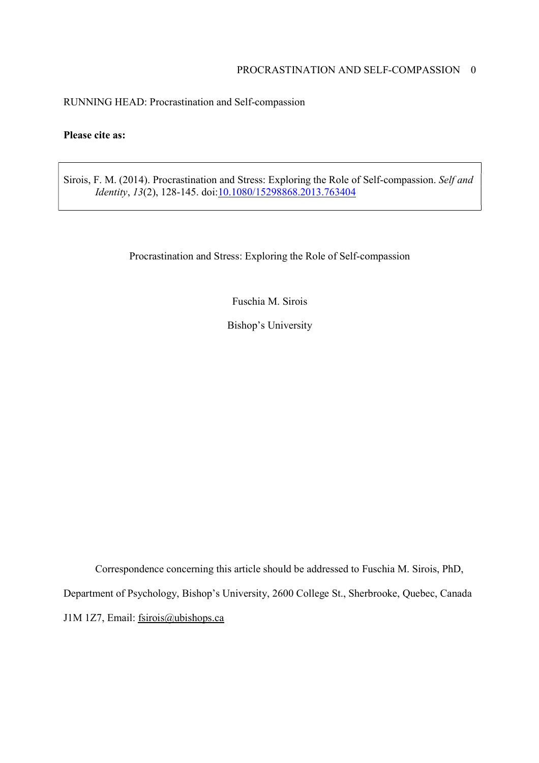# PROCRASTINATION AND SELF-COMPASSION 0

RUNNING HEAD: Procrastination and Self-compassion

# **Please cite as:**

Sirois, F. M. (2014). Procrastination and Stress: Exploring the Role of Self-compassion. *Self and Identity*, *13*(2), 128-145. doi:10.1080/15298868.2013.763404

Procrastination and Stress: Exploring the Role of Self-compassion

Fuschia M. Sirois

Bishop's University

Correspondence concerning this article should be addressed to Fuschia M. Sirois, PhD, Department of Psychology, Bishop's University, 2600 College St., Sherbrooke, Quebec, Canada J1M 1Z7, Email: fsirois@ubishops.ca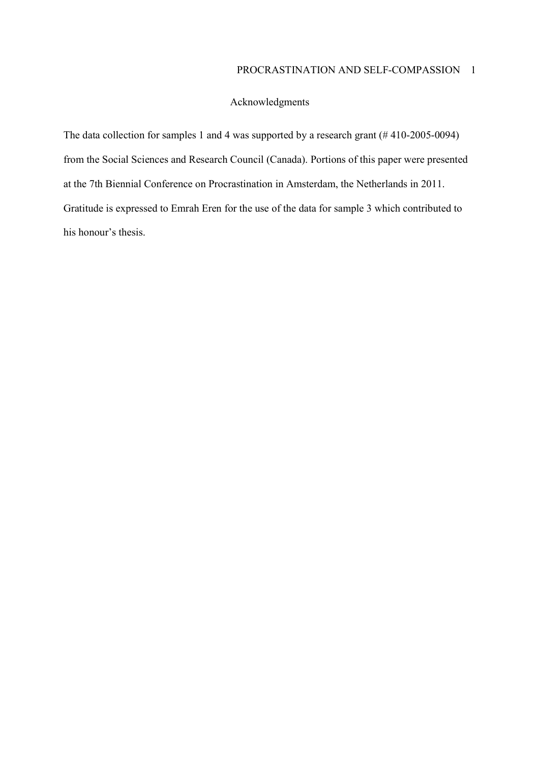## Acknowledgments

The data collection for samples 1 and 4 was supported by a research grant (# 410-2005-0094) from the Social Sciences and Research Council (Canada). Portions of this paper were presented at the 7th Biennial Conference on Procrastination in Amsterdam, the Netherlands in 2011. Gratitude is expressed to Emrah Eren for the use of the data for sample 3 which contributed to his honour's thesis.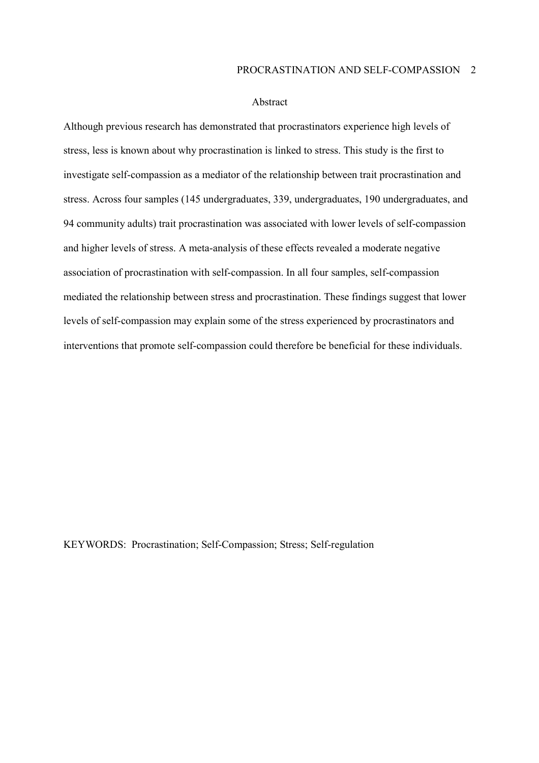### PROCRASTINATION AND SELF-COMPASSION 2

#### Abstract

Although previous research has demonstrated that procrastinators experience high levels of stress, less is known about why procrastination is linked to stress. This study is the first to investigate self-compassion as a mediator of the relationship between trait procrastination and stress. Across four samples (145 undergraduates, 339, undergraduates, 190 undergraduates, and 94 community adults) trait procrastination was associated with lower levels of self-compassion and higher levels of stress. A meta-analysis of these effects revealed a moderate negative association of procrastination with self-compassion. In all four samples, self-compassion mediated the relationship between stress and procrastination. These findings suggest that lower levels of self-compassion may explain some of the stress experienced by procrastinators and interventions that promote self-compassion could therefore be beneficial for these individuals.

KEYWORDS: Procrastination; Self-Compassion; Stress; Self-regulation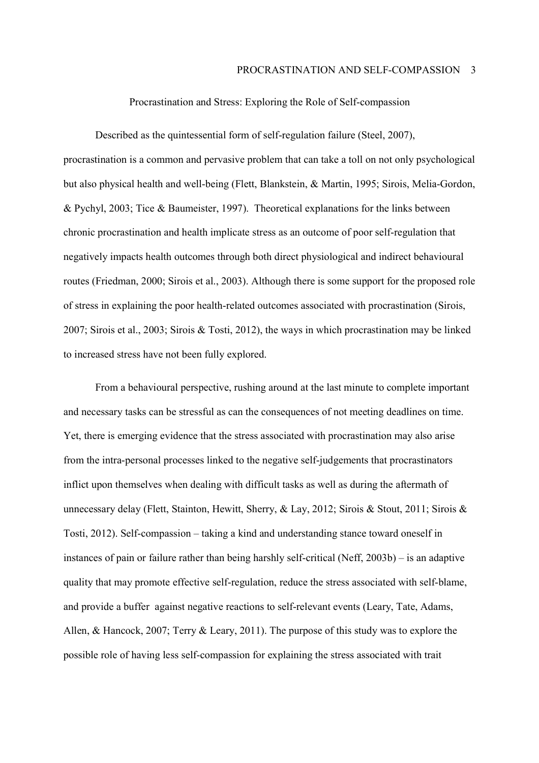### Procrastination and Stress: Exploring the Role of Self-compassion

Described as the quintessential form of self-regulation failure (Steel, 2007), procrastination is a common and pervasive problem that can take a toll on not only psychological but also physical health and well-being (Flett, Blankstein, & Martin, 1995; Sirois, Melia-Gordon, & Pychyl, 2003; Tice & Baumeister, 1997). Theoretical explanations for the links between chronic procrastination and health implicate stress as an outcome of poor self-regulation that negatively impacts health outcomes through both direct physiological and indirect behavioural routes (Friedman, 2000; Sirois et al., 2003). Although there is some support for the proposed role of stress in explaining the poor health-related outcomes associated with procrastination (Sirois, 2007; Sirois et al., 2003; Sirois & Tosti, 2012), the ways in which procrastination may be linked to increased stress have not been fully explored.

From a behavioural perspective, rushing around at the last minute to complete important and necessary tasks can be stressful as can the consequences of not meeting deadlines on time. Yet, there is emerging evidence that the stress associated with procrastination may also arise from the intra-personal processes linked to the negative self-judgements that procrastinators inflict upon themselves when dealing with difficult tasks as well as during the aftermath of unnecessary delay (Flett, Stainton, Hewitt, Sherry, & Lay, 2012; Sirois & Stout, 2011; Sirois & Tosti, 2012). Self-compassion – taking a kind and understanding stance toward oneself in instances of pain or failure rather than being harshly self-critical (Neff,  $2003b$ ) – is an adaptive quality that may promote effective self-regulation, reduce the stress associated with self-blame, and provide a buffer against negative reactions to self-relevant events (Leary, Tate, Adams, Allen, & Hancock, 2007; Terry & Leary, 2011). The purpose of this study was to explore the possible role of having less self-compassion for explaining the stress associated with trait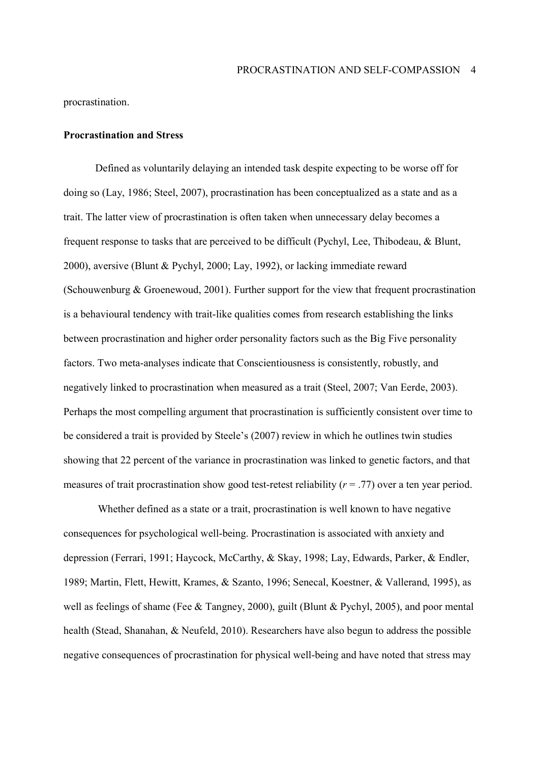procrastination.

#### **Procrastination and Stress**

Defined as voluntarily delaying an intended task despite expecting to be worse off for doing so (Lay, 1986; Steel, 2007), procrastination has been conceptualized as a state and as a trait. The latter view of procrastination is often taken when unnecessary delay becomes a frequent response to tasks that are perceived to be difficult (Pychyl, Lee, Thibodeau, & Blunt, 2000), aversive (Blunt & Pychyl, 2000; Lay, 1992), or lacking immediate reward (Schouwenburg & Groenewoud, 2001). Further support for the view that frequent procrastination is a behavioural tendency with trait-like qualities comes from research establishing the links between procrastination and higher order personality factors such as the Big Five personality factors. Two meta-analyses indicate that Conscientiousness is consistently, robustly, and negatively linked to procrastination when measured as a trait (Steel, 2007; Van Eerde, 2003). Perhaps the most compelling argument that procrastination is sufficiently consistent over time to be considered a trait is provided by Steele's (2007) review in which he outlines twin studies showing that 22 percent of the variance in procrastination was linked to genetic factors, and that measures of trait procrastination show good test-retest reliability  $(r = .77)$  over a ten year period.

 Whether defined as a state or a trait, procrastination is well known to have negative consequences for psychological well-being. Procrastination is associated with anxiety and depression (Ferrari, 1991; Haycock, McCarthy, & Skay, 1998; Lay, Edwards, Parker, & Endler, 1989; Martin, Flett, Hewitt, Krames, & Szanto, 1996; Senecal, Koestner, & Vallerand, 1995), as well as feelings of shame (Fee & Tangney, 2000), guilt (Blunt & Pychyl, 2005), and poor mental health (Stead, Shanahan, & Neufeld, 2010). Researchers have also begun to address the possible negative consequences of procrastination for physical well-being and have noted that stress may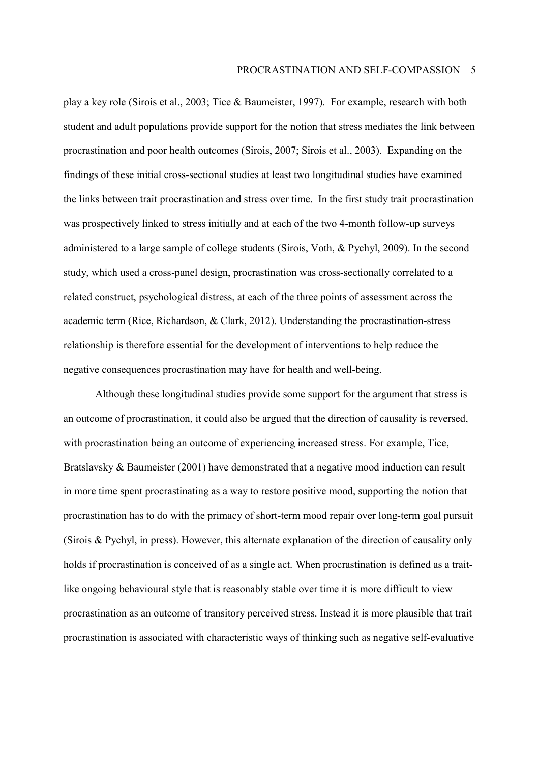play a key role (Sirois et al., 2003; Tice & Baumeister, 1997). For example, research with both student and adult populations provide support for the notion that stress mediates the link between procrastination and poor health outcomes (Sirois, 2007; Sirois et al., 2003). Expanding on the findings of these initial cross-sectional studies at least two longitudinal studies have examined the links between trait procrastination and stress over time. In the first study trait procrastination was prospectively linked to stress initially and at each of the two 4-month follow-up surveys administered to a large sample of college students (Sirois, Voth, & Pychyl, 2009). In the second study, which used a cross-panel design, procrastination was cross-sectionally correlated to a related construct, psychological distress, at each of the three points of assessment across the academic term (Rice, Richardson, & Clark, 2012). Understanding the procrastination-stress relationship is therefore essential for the development of interventions to help reduce the negative consequences procrastination may have for health and well-being.

Although these longitudinal studies provide some support for the argument that stress is an outcome of procrastination, it could also be argued that the direction of causality is reversed, with procrastination being an outcome of experiencing increased stress. For example, Tice, Bratslavsky & Baumeister (2001) have demonstrated that a negative mood induction can result in more time spent procrastinating as a way to restore positive mood, supporting the notion that procrastination has to do with the primacy of short-term mood repair over long-term goal pursuit (Sirois & Pychyl, in press). However, this alternate explanation of the direction of causality only holds if procrastination is conceived of as a single act. When procrastination is defined as a traitlike ongoing behavioural style that is reasonably stable over time it is more difficult to view procrastination as an outcome of transitory perceived stress. Instead it is more plausible that trait procrastination is associated with characteristic ways of thinking such as negative self-evaluative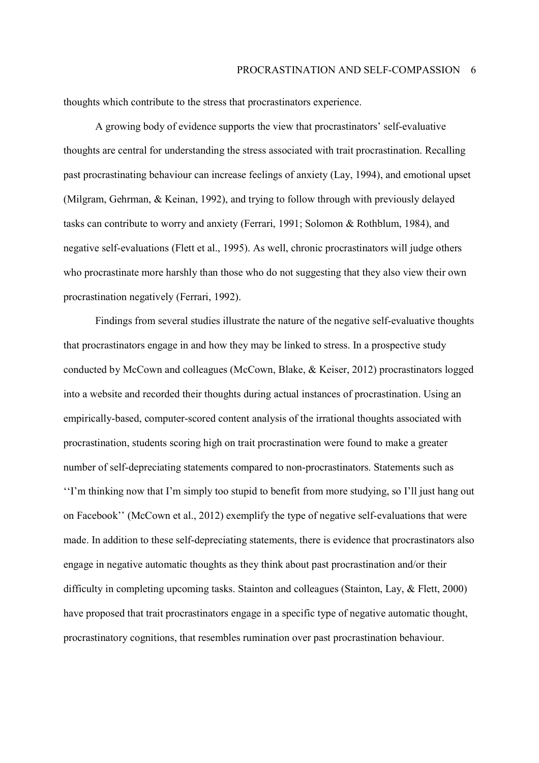thoughts which contribute to the stress that procrastinators experience.

A growing body of evidence supports the view that procrastinators' self-evaluative thoughts are central for understanding the stress associated with trait procrastination. Recalling past procrastinating behaviour can increase feelings of anxiety (Lay, 1994), and emotional upset (Milgram, Gehrman, & Keinan, 1992), and trying to follow through with previously delayed tasks can contribute to worry and anxiety (Ferrari, 1991; Solomon & Rothblum, 1984), and negative self-evaluations (Flett et al., 1995). As well, chronic procrastinators will judge others who procrastinate more harshly than those who do not suggesting that they also view their own procrastination negatively (Ferrari, 1992).

Findings from several studies illustrate the nature of the negative self-evaluative thoughts that procrastinators engage in and how they may be linked to stress. In a prospective study conducted by McCown and colleagues (McCown, Blake, & Keiser, 2012) procrastinators logged into a website and recorded their thoughts during actual instances of procrastination. Using an empirically-based, computer-scored content analysis of the irrational thoughts associated with procrastination, students scoring high on trait procrastination were found to make a greater number of self-depreciating statements compared to non-procrastinators. Statements such as "I'm thinking now that I'm simply too stupid to benefit from more studying, so I'll just hang out on Facebook<sup> $\cdot$ </sup> (McCown et al., 2012) exemplify the type of negative self-evaluations that were made. In addition to these self-depreciating statements, there is evidence that procrastinators also engage in negative automatic thoughts as they think about past procrastination and/or their difficulty in completing upcoming tasks. Stainton and colleagues (Stainton, Lay, & Flett, 2000) have proposed that trait procrastinators engage in a specific type of negative automatic thought, procrastinatory cognitions, that resembles rumination over past procrastination behaviour.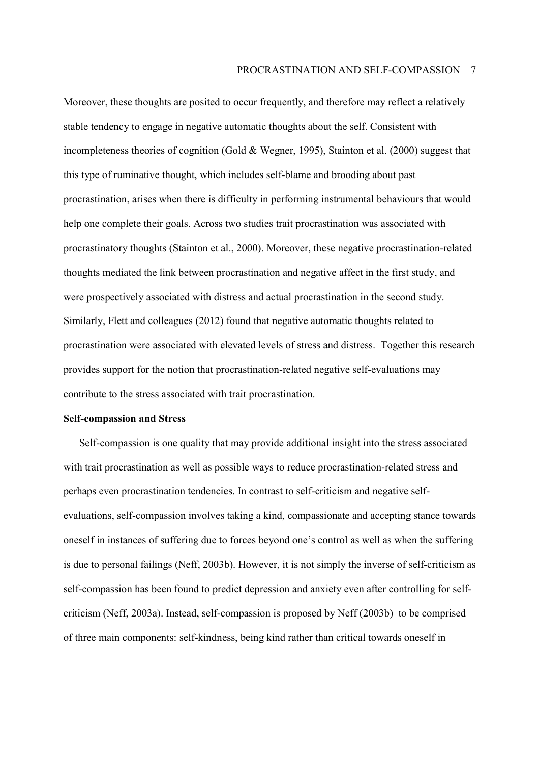Moreover, these thoughts are posited to occur frequently, and therefore may reflect a relatively stable tendency to engage in negative automatic thoughts about the self. Consistent with incompleteness theories of cognition (Gold & Wegner, 1995), Stainton et al. (2000) suggest that this type of ruminative thought, which includes self-blame and brooding about past procrastination, arises when there is difficulty in performing instrumental behaviours that would help one complete their goals. Across two studies trait procrastination was associated with procrastinatory thoughts (Stainton et al., 2000). Moreover, these negative procrastination-related thoughts mediated the link between procrastination and negative affect in the first study, and were prospectively associated with distress and actual procrastination in the second study. Similarly, Flett and colleagues (2012) found that negative automatic thoughts related to procrastination were associated with elevated levels of stress and distress. Together this research provides support for the notion that procrastination-related negative self-evaluations may contribute to the stress associated with trait procrastination.

#### **Self-compassion and Stress**

Self-compassion is one quality that may provide additional insight into the stress associated with trait procrastination as well as possible ways to reduce procrastination-related stress and perhaps even procrastination tendencies. In contrast to self-criticism and negative selfevaluations, self-compassion involves taking a kind, compassionate and accepting stance towards oneself in instances of suffering due to forces beyond one's control as well as when the suffering is due to personal failings (Neff, 2003b). However, it is not simply the inverse of self-criticism as self-compassion has been found to predict depression and anxiety even after controlling for selfcriticism (Neff, 2003a). Instead, self-compassion is proposed by Neff (2003b) to be comprised of three main components: self-kindness, being kind rather than critical towards oneself in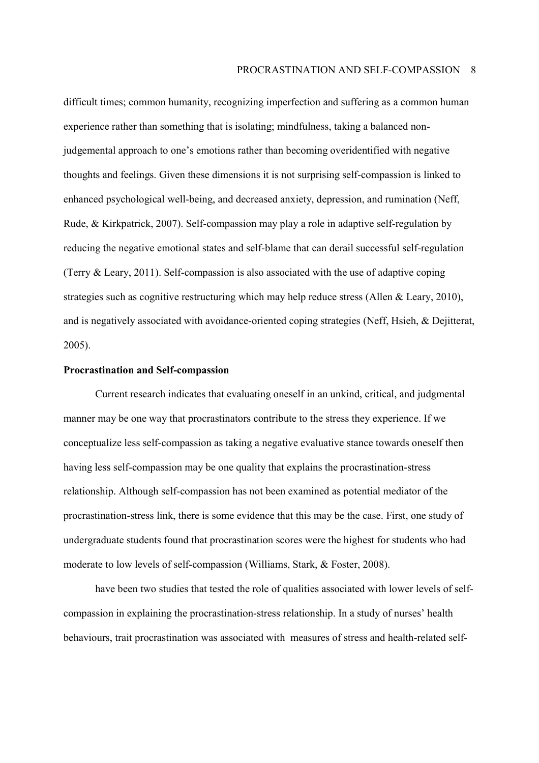difficult times; common humanity, recognizing imperfection and suffering as a common human experience rather than something that is isolating; mindfulness, taking a balanced nonjudgemental approach to one's emotions rather than becoming overidentified with negative thoughts and feelings. Given these dimensions it is not surprising self-compassion is linked to enhanced psychological well-being, and decreased anxiety, depression, and rumination (Neff, Rude, & Kirkpatrick, 2007). Self-compassion may play a role in adaptive self-regulation by reducing the negative emotional states and self-blame that can derail successful self-regulation (Terry & Leary, 2011). Self-compassion is also associated with the use of adaptive coping strategies such as cognitive restructuring which may help reduce stress (Allen & Leary, 2010), and is negatively associated with avoidance-oriented coping strategies (Neff, Hsieh, & Dejitterat, 2005).

#### **Procrastination and Self-compassion**

Current research indicates that evaluating oneself in an unkind, critical, and judgmental manner may be one way that procrastinators contribute to the stress they experience. If we conceptualize less self-compassion as taking a negative evaluative stance towards oneself then having less self-compassion may be one quality that explains the procrastination-stress relationship. Although self-compassion has not been examined as potential mediator of the procrastination-stress link, there is some evidence that this may be the case. First, one study of undergraduate students found that procrastination scores were the highest for students who had moderate to low levels of self-compassion (Williams, Stark, & Foster, 2008).

have been two studies that tested the role of qualities associated with lower levels of selfcompassion in explaining the procrastination-stress relationship. In a study of nurses' health behaviours, trait procrastination was associated with measures of stress and health-related self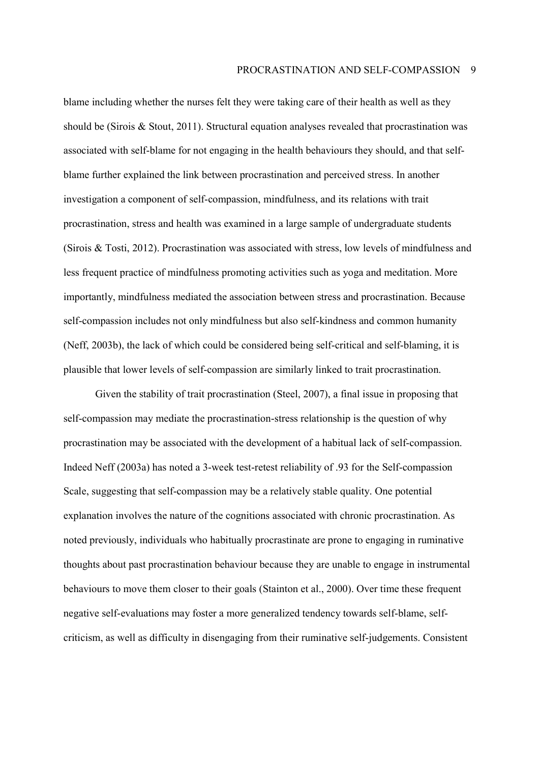blame including whether the nurses felt they were taking care of their health as well as they should be (Sirois & Stout, 2011). Structural equation analyses revealed that procrastination was associated with self-blame for not engaging in the health behaviours they should, and that selfblame further explained the link between procrastination and perceived stress. In another investigation a component of self-compassion, mindfulness, and its relations with trait procrastination, stress and health was examined in a large sample of undergraduate students (Sirois & Tosti, 2012). Procrastination was associated with stress, low levels of mindfulness and less frequent practice of mindfulness promoting activities such as yoga and meditation. More importantly, mindfulness mediated the association between stress and procrastination. Because self-compassion includes not only mindfulness but also self-kindness and common humanity (Neff, 2003b), the lack of which could be considered being self-critical and self-blaming, it is plausible that lower levels of self-compassion are similarly linked to trait procrastination.

Given the stability of trait procrastination (Steel, 2007), a final issue in proposing that self-compassion may mediate the procrastination-stress relationship is the question of why procrastination may be associated with the development of a habitual lack of self-compassion. Indeed Neff (2003a) has noted a 3-week test-retest reliability of .93 for the Self-compassion Scale, suggesting that self-compassion may be a relatively stable quality. One potential explanation involves the nature of the cognitions associated with chronic procrastination. As noted previously, individuals who habitually procrastinate are prone to engaging in ruminative thoughts about past procrastination behaviour because they are unable to engage in instrumental behaviours to move them closer to their goals (Stainton et al., 2000). Over time these frequent negative self-evaluations may foster a more generalized tendency towards self-blame, selfcriticism, as well as difficulty in disengaging from their ruminative self-judgements. Consistent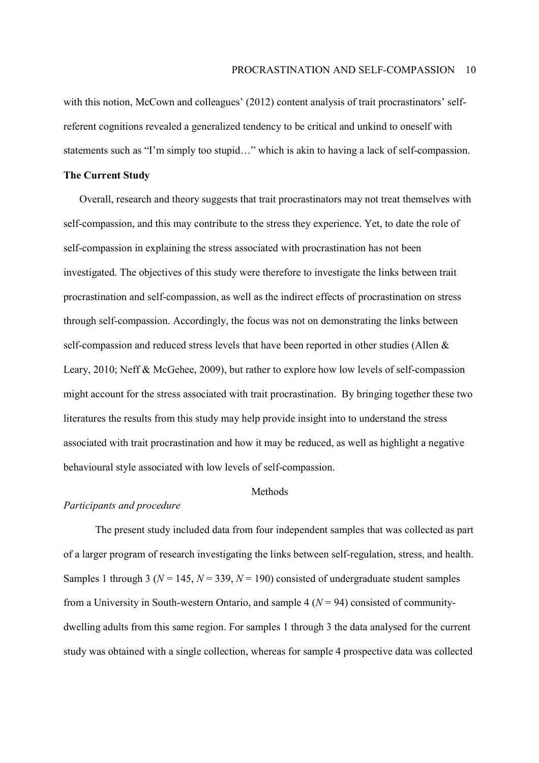with this notion, McCown and colleagues' (2012) content analysis of trait procrastinators' selfreferent cognitions revealed a generalized tendency to be critical and unkind to oneself with statements such as "I'm simply too stupid..." which is akin to having a lack of self-compassion.

## **The Current Study**

Overall, research and theory suggests that trait procrastinators may not treat themselves with self-compassion, and this may contribute to the stress they experience. Yet, to date the role of self-compassion in explaining the stress associated with procrastination has not been investigated. The objectives of this study were therefore to investigate the links between trait procrastination and self-compassion, as well as the indirect effects of procrastination on stress through self-compassion. Accordingly, the focus was not on demonstrating the links between self-compassion and reduced stress levels that have been reported in other studies (Allen & Leary, 2010; Neff & McGehee, 2009), but rather to explore how low levels of self-compassion might account for the stress associated with trait procrastination. By bringing together these two literatures the results from this study may help provide insight into to understand the stress associated with trait procrastination and how it may be reduced, as well as highlight a negative behavioural style associated with low levels of self-compassion.

## Methods

## *Participants and procedure*

The present study included data from four independent samples that was collected as part of a larger program of research investigating the links between self-regulation, stress, and health. Samples 1 through 3 ( $N = 145$ ,  $N = 339$ ,  $N = 190$ ) consisted of undergraduate student samples from a University in South-western Ontario, and sample 4  $(N = 94)$  consisted of communitydwelling adults from this same region. For samples 1 through 3 the data analysed for the current study was obtained with a single collection, whereas for sample 4 prospective data was collected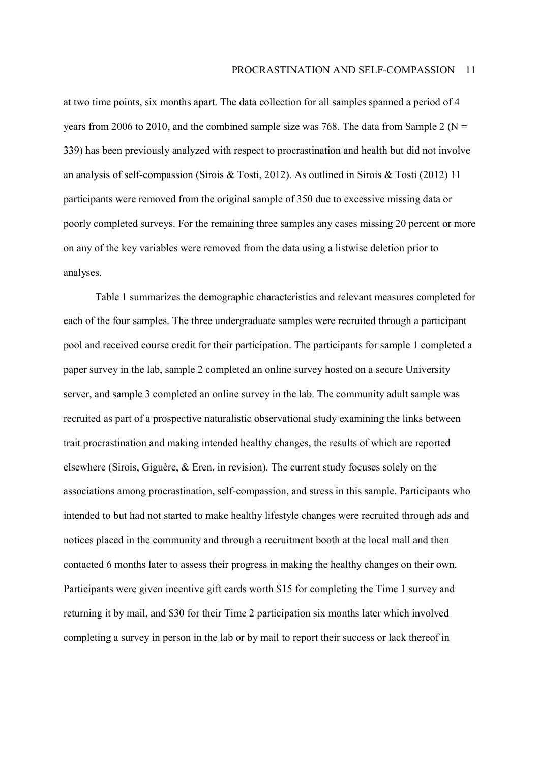at two time points, six months apart. The data collection for all samples spanned a period of 4 years from 2006 to 2010, and the combined sample size was 768. The data from Sample 2 ( $N =$ 339) has been previously analyzed with respect to procrastination and health but did not involve an analysis of self-compassion (Sirois & Tosti, 2012). As outlined in Sirois & Tosti (2012) 11 participants were removed from the original sample of 350 due to excessive missing data or poorly completed surveys. For the remaining three samples any cases missing 20 percent or more on any of the key variables were removed from the data using a listwise deletion prior to analyses.

Table 1 summarizes the demographic characteristics and relevant measures completed for each of the four samples. The three undergraduate samples were recruited through a participant pool and received course credit for their participation. The participants for sample 1 completed a paper survey in the lab, sample 2 completed an online survey hosted on a secure University server, and sample 3 completed an online survey in the lab. The community adult sample was recruited as part of a prospective naturalistic observational study examining the links between trait procrastination and making intended healthy changes, the results of which are reported elsewhere (Sirois, Giguère,  $\&$  Eren, in revision). The current study focuses solely on the associations among procrastination, self-compassion, and stress in this sample. Participants who intended to but had not started to make healthy lifestyle changes were recruited through ads and notices placed in the community and through a recruitment booth at the local mall and then contacted 6 months later to assess their progress in making the healthy changes on their own. Participants were given incentive gift cards worth \$15 for completing the Time 1 survey and returning it by mail, and \$30 for their Time 2 participation six months later which involved completing a survey in person in the lab or by mail to report their success or lack thereof in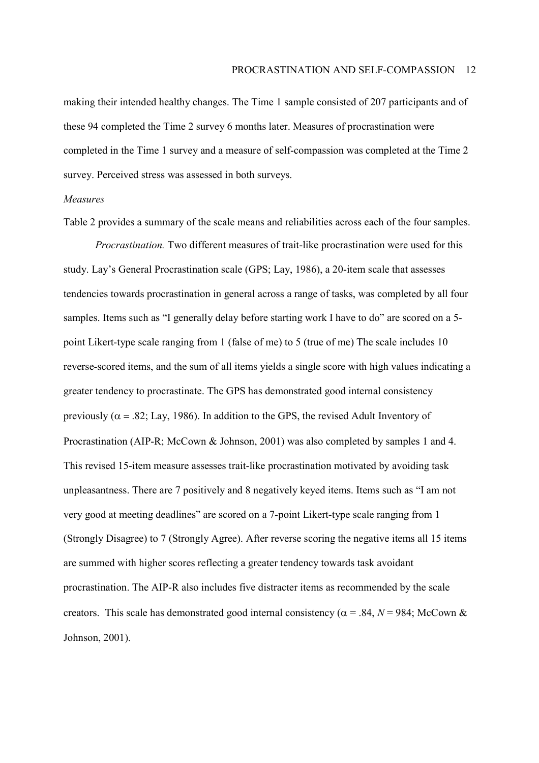making their intended healthy changes. The Time 1 sample consisted of 207 participants and of these 94 completed the Time 2 survey 6 months later. Measures of procrastination were completed in the Time 1 survey and a measure of self-compassion was completed at the Time 2 survey. Perceived stress was assessed in both surveys.

#### *Measures*

Table 2 provides a summary of the scale means and reliabilities across each of the four samples.

*Procrastination.* Two different measures of trait-like procrastination were used for this study. Layís General Procrastination scale (GPS; Lay, 1986), a 20-item scale that assesses tendencies towards procrastination in general across a range of tasks, was completed by all four samples. Items such as "I generally delay before starting work I have to do" are scored on a 5point Likert-type scale ranging from 1 (false of me) to 5 (true of me) The scale includes 10 reverse-scored items, and the sum of all items yields a single score with high values indicating a greater tendency to procrastinate. The GPS has demonstrated good internal consistency previously ( $\alpha$  = .82; Lay, 1986). In addition to the GPS, the revised Adult Inventory of Procrastination (AIP-R; McCown & Johnson, 2001) was also completed by samples 1 and 4. This revised 15-item measure assesses trait-like procrastination motivated by avoiding task unpleasantness. There are 7 positively and 8 negatively keyed items. Items such as "I am not very good at meeting deadlines" are scored on a 7-point Likert-type scale ranging from 1 (Strongly Disagree) to 7 (Strongly Agree). After reverse scoring the negative items all 15 items are summed with higher scores reflecting a greater tendency towards task avoidant procrastination. The AIP-R also includes five distracter items as recommended by the scale creators. This scale has demonstrated good internal consistency ( $\alpha$  = .84, *N* = 984; McCown & Johnson, 2001).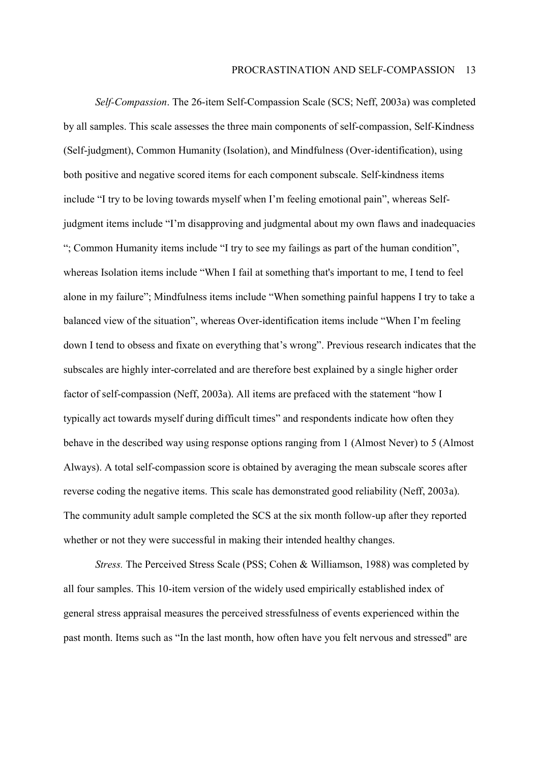*Self-Compassion*. The 26-item Self-Compassion Scale (SCS; Neff, 2003a) was completed by all samples. This scale assesses the three main components of self-compassion, Self-Kindness (Self-judgment), Common Humanity (Isolation), and Mindfulness (Over-identification), using both positive and negative scored items for each component subscale. Self-kindness items include "I try to be loving towards myself when I'm feeling emotional pain", whereas Selfjudgment items include "I'm disapproving and judgmental about my own flaws and inadequacies "; Common Humanity items include "I try to see my failings as part of the human condition", whereas Isolation items include "When I fail at something that's important to me, I tend to feel alone in my failure"; Mindfulness items include "When something painful happens I try to take a balanced view of the situation", whereas Over-identification items include "When I'm feeling down I tend to obsess and fixate on everything that's wrong". Previous research indicates that the subscales are highly inter-correlated and are therefore best explained by a single higher order factor of self-compassion (Neff, 2003a). All items are prefaced with the statement "how I typically act towards myself during difficult times" and respondents indicate how often they behave in the described way using response options ranging from 1 (Almost Never) to 5 (Almost Always). A total self-compassion score is obtained by averaging the mean subscale scores after reverse coding the negative items. This scale has demonstrated good reliability (Neff, 2003a). The community adult sample completed the SCS at the six month follow-up after they reported whether or not they were successful in making their intended healthy changes.

*Stress.* The Perceived Stress Scale (PSS; Cohen & Williamson, 1988) was completed by all four samples. This 10-item version of the widely used empirically established index of general stress appraisal measures the perceived stressfulness of events experienced within the past month. Items such as "In the last month, how often have you felt nervous and stressed" are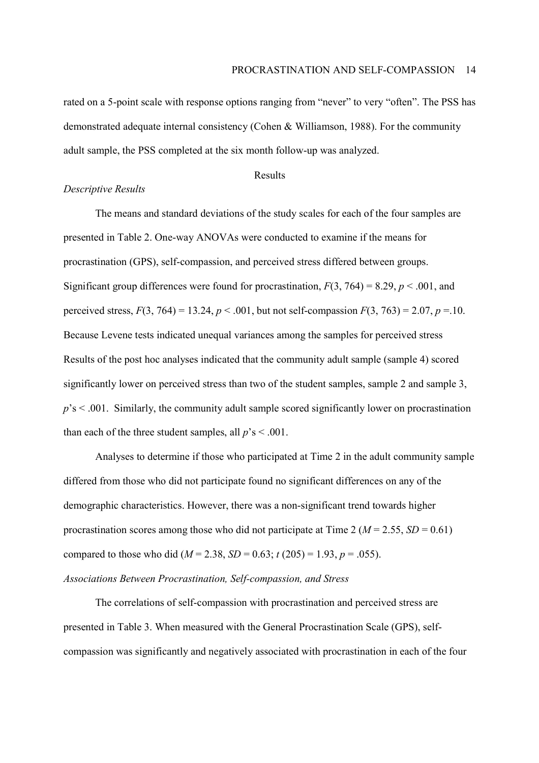rated on a 5-point scale with response options ranging from "never" to very "often". The PSS has demonstrated adequate internal consistency (Cohen & Williamson, 1988). For the community adult sample, the PSS completed at the six month follow-up was analyzed.

### Results

#### *Descriptive Results*

 The means and standard deviations of the study scales for each of the four samples are presented in Table 2. One-way ANOVAs were conducted to examine if the means for procrastination (GPS), self-compassion, and perceived stress differed between groups. Significant group differences were found for procrastination,  $F(3, 764) = 8.29$ ,  $p < .001$ , and perceived stress,  $F(3, 764) = 13.24$ ,  $p < .001$ , but not self-compassion  $F(3, 763) = 2.07$ ,  $p = .10$ . Because Levene tests indicated unequal variances among the samples for perceived stress Results of the post hoc analyses indicated that the community adult sample (sample 4) scored significantly lower on perceived stress than two of the student samples, sample 2 and sample 3,  $p$ <sup>'s <</sup> .001. Similarly, the community adult sample scored significantly lower on procrastination than each of the three student samples, all  $p$ <sup>'</sup>s < .001.

Analyses to determine if those who participated at Time 2 in the adult community sample differed from those who did not participate found no significant differences on any of the demographic characteristics. However, there was a non-significant trend towards higher procrastination scores among those who did not participate at Time 2 ( $M = 2.55$ ,  $SD = 0.61$ ) compared to those who did ( $M = 2.38$ ,  $SD = 0.63$ ;  $t(205) = 1.93$ ,  $p = .055$ ).

## *Associations Between Procrastination, Self-compassion, and Stress*

 The correlations of self-compassion with procrastination and perceived stress are presented in Table 3. When measured with the General Procrastination Scale (GPS), selfcompassion was significantly and negatively associated with procrastination in each of the four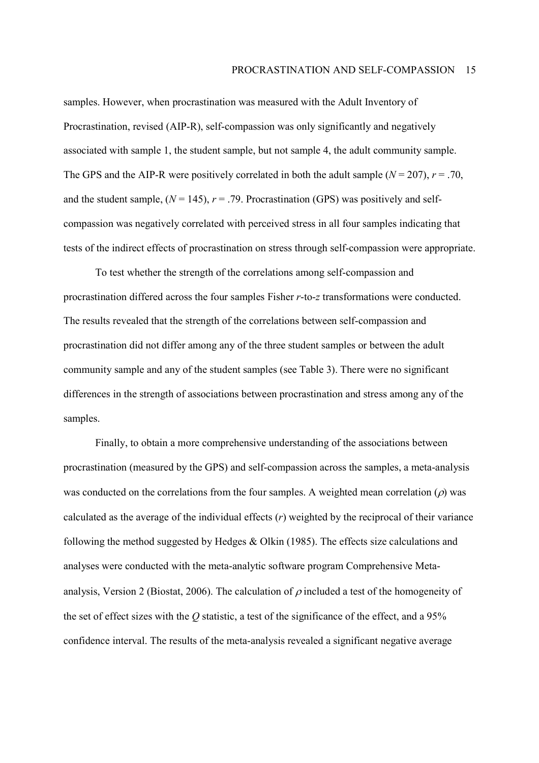samples. However, when procrastination was measured with the Adult Inventory of Procrastination, revised (AIP-R), self-compassion was only significantly and negatively associated with sample 1, the student sample, but not sample 4, the adult community sample. The GPS and the AIP-R were positively correlated in both the adult sample  $(N = 207)$ ,  $r = .70$ , and the student sample,  $(N = 145)$ ,  $r = .79$ . Procrastination (GPS) was positively and selfcompassion was negatively correlated with perceived stress in all four samples indicating that tests of the indirect effects of procrastination on stress through self-compassion were appropriate.

 To test whether the strength of the correlations among self-compassion and procrastination differed across the four samples Fisher *r*-to-*z* transformations were conducted. The results revealed that the strength of the correlations between self-compassion and procrastination did not differ among any of the three student samples or between the adult community sample and any of the student samples (see Table 3). There were no significant differences in the strength of associations between procrastination and stress among any of the samples.

 Finally, to obtain a more comprehensive understanding of the associations between procrastination (measured by the GPS) and self-compassion across the samples, a meta-analysis was conducted on the correlations from the four samples. A weighted mean correlation  $(\rho)$  was calculated as the average of the individual effects (*r*) weighted by the reciprocal of their variance following the method suggested by Hedges & Olkin (1985). The effects size calculations and analyses were conducted with the meta-analytic software program Comprehensive Metaanalysis, Version 2 (Biostat, 2006). The calculation of  $\rho$  included a test of the homogeneity of the set of effect sizes with the *Q* statistic, a test of the significance of the effect, and a 95% confidence interval. The results of the meta-analysis revealed a significant negative average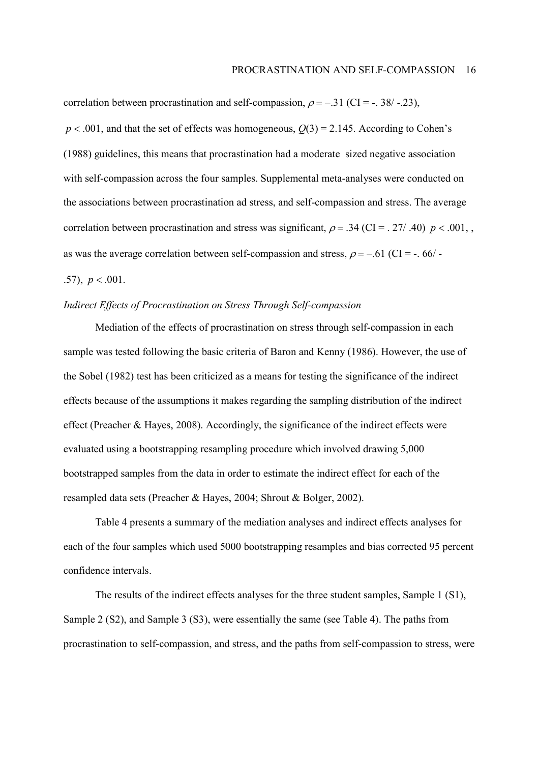correlation between procrastination and self-compassion,  $\rho = -.31$  (CI = -. 38/ -.23),

 $p < .001$ , and that the set of effects was homogeneous,  $Q(3) = 2.145$ . According to Cohen's (1988) guidelines, this means that procrastination had a moderate sized negative association with self-compassion across the four samples. Supplemental meta-analyses were conducted on the associations between procrastination ad stress, and self-compassion and stress. The average correlation between procrastination and stress was significant,  $\rho = .34$  (CI = . 27/ .40)  $p < .001$ , as was the average correlation between self-compassion and stress,  $\rho = -0.61$  (CI = -. 66/ -.57),  $p < .001$ .

### *Indirect Effects of Procrastination on Stress Through Self-compassion*

Mediation of the effects of procrastination on stress through self-compassion in each sample was tested following the basic criteria of Baron and Kenny (1986). However, the use of the Sobel (1982) test has been criticized as a means for testing the significance of the indirect effects because of the assumptions it makes regarding the sampling distribution of the indirect effect (Preacher & Hayes, 2008). Accordingly, the significance of the indirect effects were evaluated using a bootstrapping resampling procedure which involved drawing 5,000 bootstrapped samples from the data in order to estimate the indirect effect for each of the resampled data sets (Preacher & Hayes, 2004; Shrout & Bolger, 2002).

Table 4 presents a summary of the mediation analyses and indirect effects analyses for each of the four samples which used 5000 bootstrapping resamples and bias corrected 95 percent confidence intervals.

The results of the indirect effects analyses for the three student samples, Sample 1 (S1), Sample 2 (S2), and Sample 3 (S3), were essentially the same (see Table 4). The paths from procrastination to self-compassion, and stress, and the paths from self-compassion to stress, were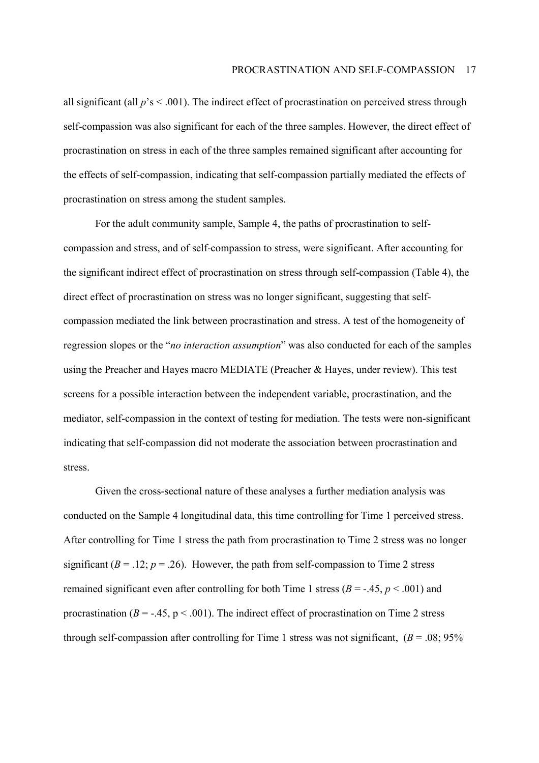all significant (all  $p$ 's  $\leq$  .001). The indirect effect of procrastination on perceived stress through self-compassion was also significant for each of the three samples. However, the direct effect of procrastination on stress in each of the three samples remained significant after accounting for the effects of self-compassion, indicating that self-compassion partially mediated the effects of procrastination on stress among the student samples.

For the adult community sample, Sample 4, the paths of procrastination to selfcompassion and stress, and of self-compassion to stress, were significant. After accounting for the significant indirect effect of procrastination on stress through self-compassion (Table 4), the direct effect of procrastination on stress was no longer significant, suggesting that selfcompassion mediated the link between procrastination and stress. A test of the homogeneity of regression slopes or the *<i>''no interaction assumption*'' was also conducted for each of the samples using the Preacher and Hayes macro MEDIATE (Preacher & Hayes, under review). This test screens for a possible interaction between the independent variable, procrastination, and the mediator, self-compassion in the context of testing for mediation. The tests were non-significant indicating that self-compassion did not moderate the association between procrastination and stress.

Given the cross-sectional nature of these analyses a further mediation analysis was conducted on the Sample 4 longitudinal data, this time controlling for Time 1 perceived stress. After controlling for Time 1 stress the path from procrastination to Time 2 stress was no longer significant  $(B = .12; p = .26)$ . However, the path from self-compassion to Time 2 stress remained significant even after controlling for both Time 1 stress ( $B = -0.45$ ,  $p < 0.001$ ) and procrastination ( $B = -0.45$ ,  $p < 0.001$ ). The indirect effect of procrastination on Time 2 stress through self-compassion after controlling for Time 1 stress was not significant,  $(B = .08; 95\%$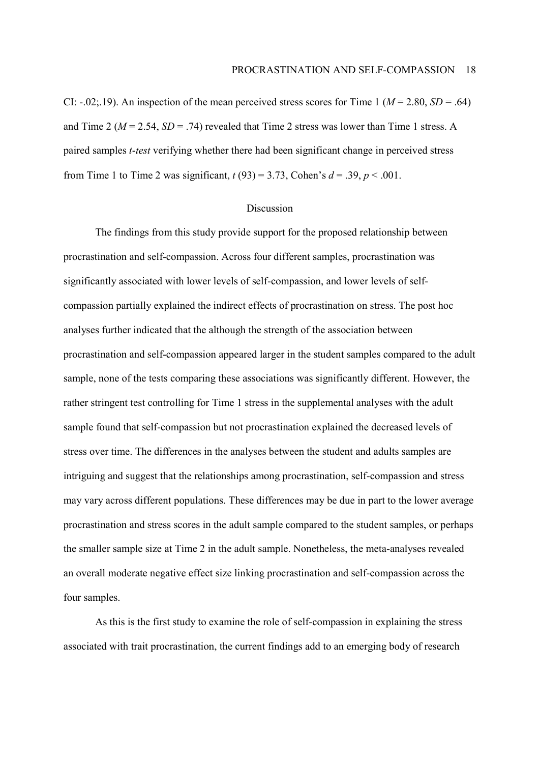CI:  $-.02;19$ ). An inspection of the mean perceived stress scores for Time 1 ( $M = 2.80$ ,  $SD = .64$ ) and Time 2 ( $M = 2.54$ ,  $SD = .74$ ) revealed that Time 2 stress was lower than Time 1 stress. A paired samples *t*-*test* verifying whether there had been significant change in perceived stress from Time 1 to Time 2 was significant,  $t(93) = 3.73$ , Cohen's  $d = .39$ ,  $p < .001$ .

## Discussion

The findings from this study provide support for the proposed relationship between procrastination and self-compassion. Across four different samples, procrastination was significantly associated with lower levels of self-compassion, and lower levels of selfcompassion partially explained the indirect effects of procrastination on stress. The post hoc analyses further indicated that the although the strength of the association between procrastination and self-compassion appeared larger in the student samples compared to the adult sample, none of the tests comparing these associations was significantly different. However, the rather stringent test controlling for Time 1 stress in the supplemental analyses with the adult sample found that self-compassion but not procrastination explained the decreased levels of stress over time. The differences in the analyses between the student and adults samples are intriguing and suggest that the relationships among procrastination, self-compassion and stress may vary across different populations. These differences may be due in part to the lower average procrastination and stress scores in the adult sample compared to the student samples, or perhaps the smaller sample size at Time 2 in the adult sample. Nonetheless, the meta-analyses revealed an overall moderate negative effect size linking procrastination and self-compassion across the four samples.

As this is the first study to examine the role of self-compassion in explaining the stress associated with trait procrastination, the current findings add to an emerging body of research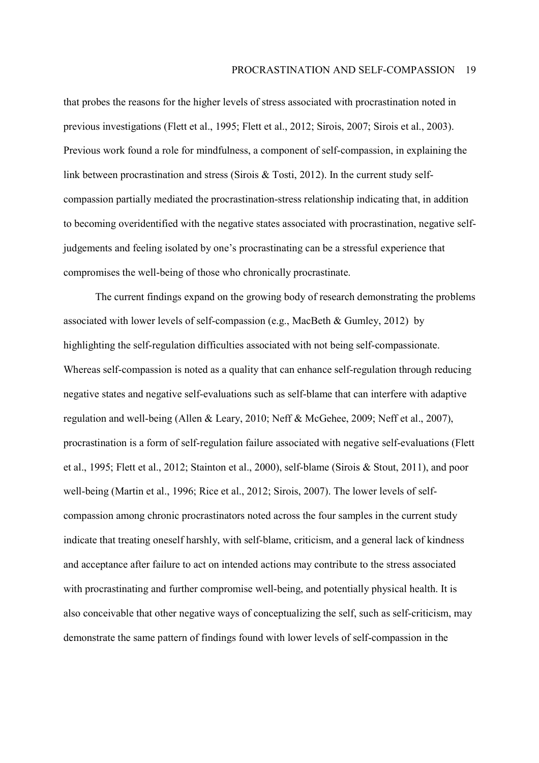that probes the reasons for the higher levels of stress associated with procrastination noted in previous investigations (Flett et al., 1995; Flett et al., 2012; Sirois, 2007; Sirois et al., 2003). Previous work found a role for mindfulness, a component of self-compassion, in explaining the link between procrastination and stress (Sirois & Tosti, 2012). In the current study selfcompassion partially mediated the procrastination-stress relationship indicating that, in addition to becoming overidentified with the negative states associated with procrastination, negative selfjudgements and feeling isolated by one's procrastinating can be a stressful experience that compromises the well-being of those who chronically procrastinate.

The current findings expand on the growing body of research demonstrating the problems associated with lower levels of self-compassion (e.g., MacBeth & Gumley, 2012) by highlighting the self-regulation difficulties associated with not being self-compassionate. Whereas self-compassion is noted as a quality that can enhance self-regulation through reducing negative states and negative self-evaluations such as self-blame that can interfere with adaptive regulation and well-being (Allen & Leary, 2010; Neff & McGehee, 2009; Neff et al., 2007), procrastination is a form of self-regulation failure associated with negative self-evaluations (Flett et al., 1995; Flett et al., 2012; Stainton et al., 2000), self-blame (Sirois & Stout, 2011), and poor well-being (Martin et al., 1996; Rice et al., 2012; Sirois, 2007). The lower levels of selfcompassion among chronic procrastinators noted across the four samples in the current study indicate that treating oneself harshly, with self-blame, criticism, and a general lack of kindness and acceptance after failure to act on intended actions may contribute to the stress associated with procrastinating and further compromise well-being, and potentially physical health. It is also conceivable that other negative ways of conceptualizing the self, such as self-criticism, may demonstrate the same pattern of findings found with lower levels of self-compassion in the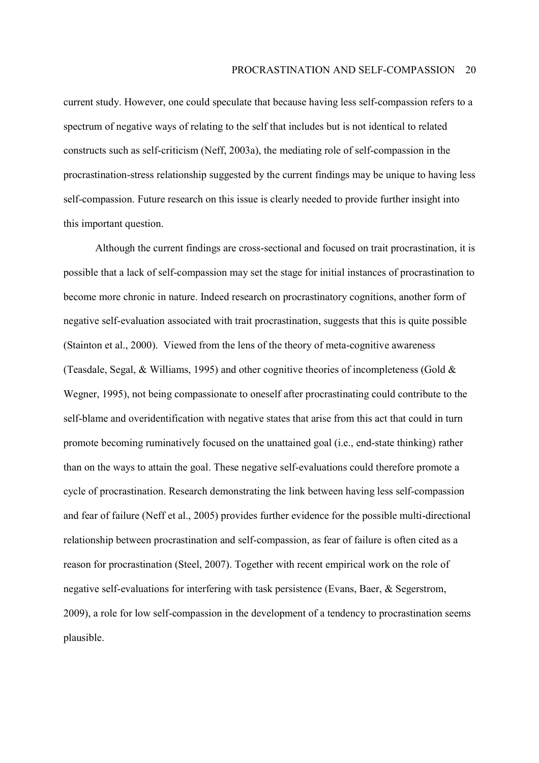current study. However, one could speculate that because having less self-compassion refers to a spectrum of negative ways of relating to the self that includes but is not identical to related constructs such as self-criticism (Neff, 2003a), the mediating role of self-compassion in the procrastination-stress relationship suggested by the current findings may be unique to having less self-compassion. Future research on this issue is clearly needed to provide further insight into this important question.

Although the current findings are cross-sectional and focused on trait procrastination, it is possible that a lack of self-compassion may set the stage for initial instances of procrastination to become more chronic in nature. Indeed research on procrastinatory cognitions, another form of negative self-evaluation associated with trait procrastination, suggests that this is quite possible (Stainton et al., 2000). Viewed from the lens of the theory of meta-cognitive awareness (Teasdale, Segal,  $\&$  Williams, 1995) and other cognitive theories of incompleteness (Gold  $\&$ Wegner, 1995), not being compassionate to oneself after procrastinating could contribute to the self-blame and overidentification with negative states that arise from this act that could in turn promote becoming ruminatively focused on the unattained goal (i.e., end-state thinking) rather than on the ways to attain the goal. These negative self-evaluations could therefore promote a cycle of procrastination. Research demonstrating the link between having less self-compassion and fear of failure (Neff et al., 2005) provides further evidence for the possible multi-directional relationship between procrastination and self-compassion, as fear of failure is often cited as a reason for procrastination (Steel, 2007). Together with recent empirical work on the role of negative self-evaluations for interfering with task persistence (Evans, Baer, & Segerstrom, 2009), a role for low self-compassion in the development of a tendency to procrastination seems plausible.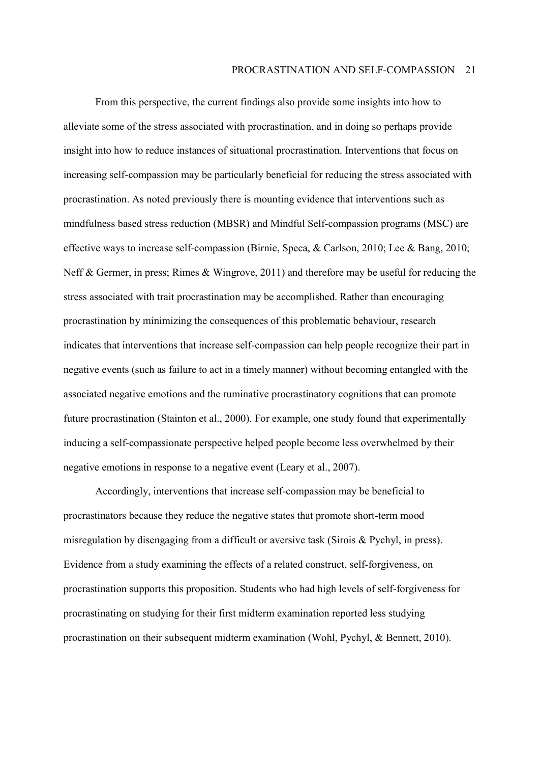From this perspective, the current findings also provide some insights into how to alleviate some of the stress associated with procrastination, and in doing so perhaps provide insight into how to reduce instances of situational procrastination. Interventions that focus on increasing self-compassion may be particularly beneficial for reducing the stress associated with procrastination. As noted previously there is mounting evidence that interventions such as mindfulness based stress reduction (MBSR) and Mindful Self-compassion programs (MSC) are effective ways to increase self-compassion (Birnie, Speca, & Carlson, 2010; Lee & Bang, 2010; Neff & Germer, in press; Rimes & Wingrove, 2011) and therefore may be useful for reducing the stress associated with trait procrastination may be accomplished. Rather than encouraging procrastination by minimizing the consequences of this problematic behaviour, research indicates that interventions that increase self-compassion can help people recognize their part in negative events (such as failure to act in a timely manner) without becoming entangled with the associated negative emotions and the ruminative procrastinatory cognitions that can promote future procrastination (Stainton et al., 2000). For example, one study found that experimentally inducing a self-compassionate perspective helped people become less overwhelmed by their negative emotions in response to a negative event (Leary et al., 2007).

Accordingly, interventions that increase self-compassion may be beneficial to procrastinators because they reduce the negative states that promote short-term mood misregulation by disengaging from a difficult or aversive task (Sirois & Pychyl, in press). Evidence from a study examining the effects of a related construct, self-forgiveness, on procrastination supports this proposition. Students who had high levels of self-forgiveness for procrastinating on studying for their first midterm examination reported less studying procrastination on their subsequent midterm examination (Wohl, Pychyl, & Bennett, 2010).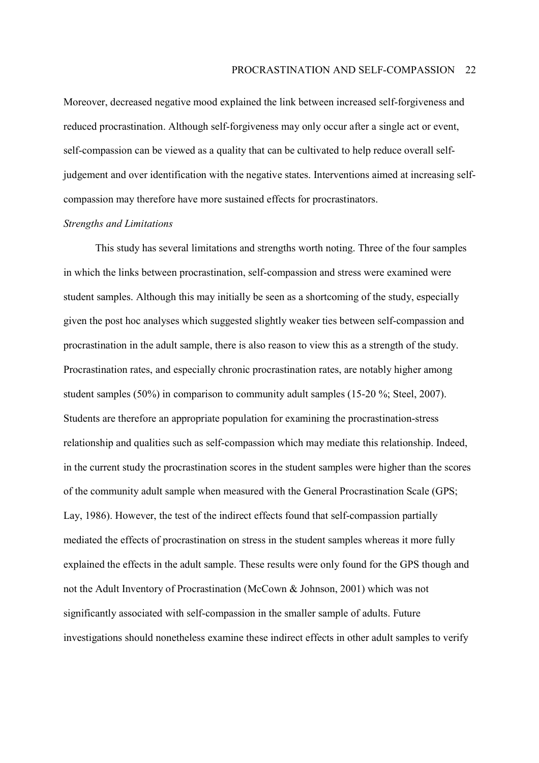Moreover, decreased negative mood explained the link between increased self-forgiveness and reduced procrastination. Although self-forgiveness may only occur after a single act or event, self-compassion can be viewed as a quality that can be cultivated to help reduce overall selfjudgement and over identification with the negative states. Interventions aimed at increasing selfcompassion may therefore have more sustained effects for procrastinators.

### *Strengths and Limitations*

This study has several limitations and strengths worth noting. Three of the four samples in which the links between procrastination, self-compassion and stress were examined were student samples. Although this may initially be seen as a shortcoming of the study, especially given the post hoc analyses which suggested slightly weaker ties between self-compassion and procrastination in the adult sample, there is also reason to view this as a strength of the study. Procrastination rates, and especially chronic procrastination rates, are notably higher among student samples (50%) in comparison to community adult samples (15-20 %; Steel, 2007). Students are therefore an appropriate population for examining the procrastination-stress relationship and qualities such as self-compassion which may mediate this relationship. Indeed, in the current study the procrastination scores in the student samples were higher than the scores of the community adult sample when measured with the General Procrastination Scale (GPS; Lay, 1986). However, the test of the indirect effects found that self-compassion partially mediated the effects of procrastination on stress in the student samples whereas it more fully explained the effects in the adult sample. These results were only found for the GPS though and not the Adult Inventory of Procrastination (McCown & Johnson, 2001) which was not significantly associated with self-compassion in the smaller sample of adults. Future investigations should nonetheless examine these indirect effects in other adult samples to verify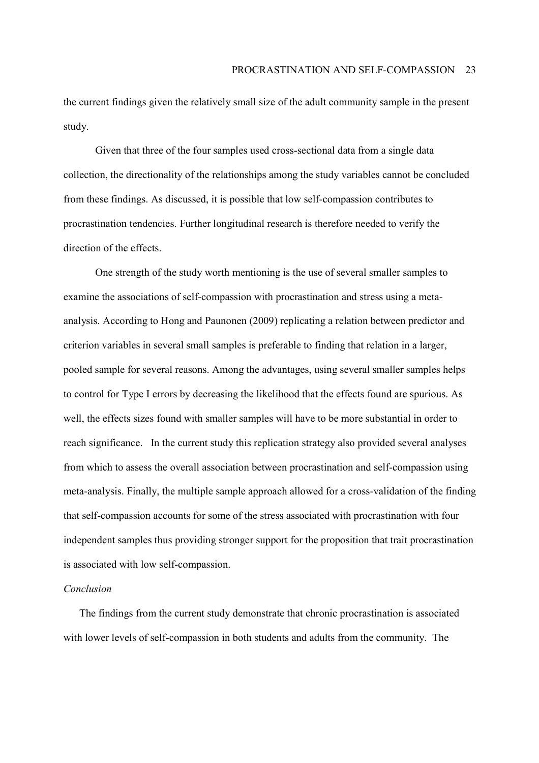the current findings given the relatively small size of the adult community sample in the present study.

Given that three of the four samples used cross-sectional data from a single data collection, the directionality of the relationships among the study variables cannot be concluded from these findings. As discussed, it is possible that low self-compassion contributes to procrastination tendencies. Further longitudinal research is therefore needed to verify the direction of the effects.

One strength of the study worth mentioning is the use of several smaller samples to examine the associations of self-compassion with procrastination and stress using a metaanalysis. According to Hong and Paunonen (2009) replicating a relation between predictor and criterion variables in several small samples is preferable to finding that relation in a larger, pooled sample for several reasons. Among the advantages, using several smaller samples helps to control for Type I errors by decreasing the likelihood that the effects found are spurious. As well, the effects sizes found with smaller samples will have to be more substantial in order to reach significance. In the current study this replication strategy also provided several analyses from which to assess the overall association between procrastination and self-compassion using meta-analysis. Finally, the multiple sample approach allowed for a cross-validation of the finding that self-compassion accounts for some of the stress associated with procrastination with four independent samples thus providing stronger support for the proposition that trait procrastination is associated with low self-compassion.

#### *Conclusion*

The findings from the current study demonstrate that chronic procrastination is associated with lower levels of self-compassion in both students and adults from the community. The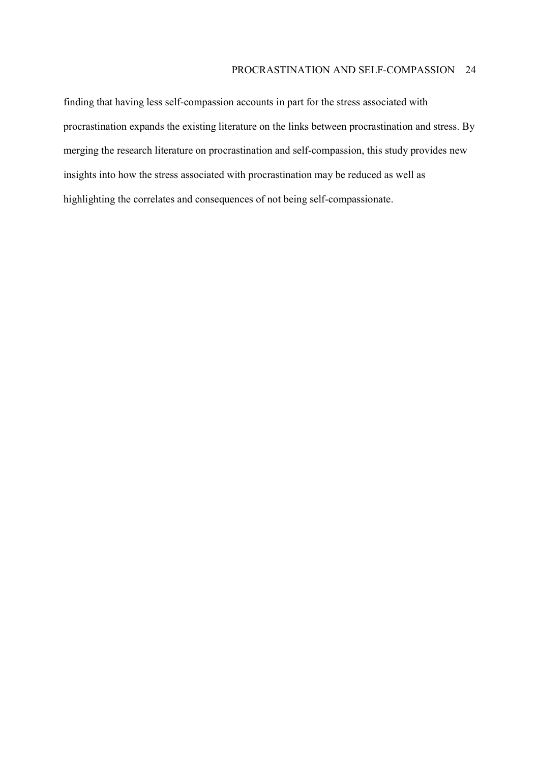## PROCRASTINATION AND SELF-COMPASSION 24

finding that having less self-compassion accounts in part for the stress associated with procrastination expands the existing literature on the links between procrastination and stress. By merging the research literature on procrastination and self-compassion, this study provides new insights into how the stress associated with procrastination may be reduced as well as highlighting the correlates and consequences of not being self-compassionate.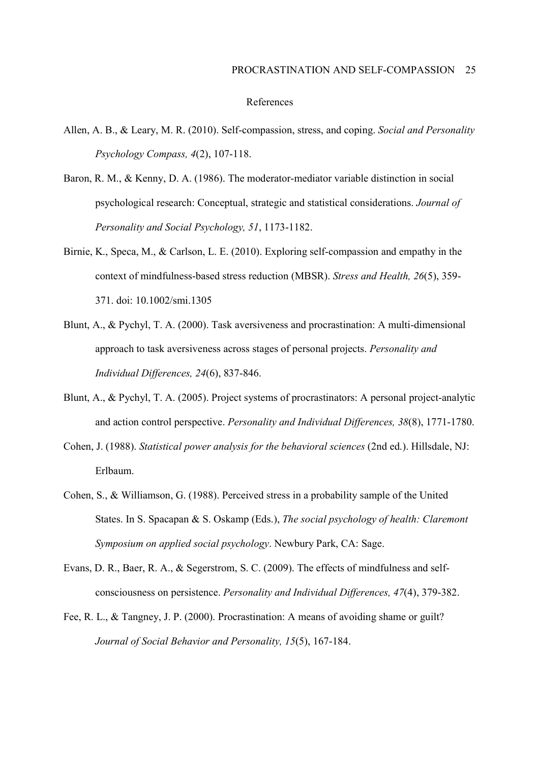#### References

- Allen, A. B., & Leary, M. R. (2010). Self-compassion, stress, and coping. *Social and Personality Psychology Compass, 4*(2), 107-118.
- Baron, R. M., & Kenny, D. A. (1986). The moderator-mediator variable distinction in social psychological research: Conceptual, strategic and statistical considerations. *Journal of Personality and Social Psychology, 51*, 1173-1182.
- Birnie, K., Speca, M., & Carlson, L. E. (2010). Exploring self-compassion and empathy in the context of mindfulness-based stress reduction (MBSR). *Stress and Health, 26*(5), 359- 371. doi: 10.1002/smi.1305
- Blunt, A., & Pychyl, T. A. (2000). Task aversiveness and procrastination: A multi-dimensional approach to task aversiveness across stages of personal projects. *Personality and Individual Differences, 24*(6), 837-846.
- Blunt, A., & Pychyl, T. A. (2005). Project systems of procrastinators: A personal project-analytic and action control perspective. *Personality and Individual Differences, 38*(8), 1771-1780.
- Cohen, J. (1988). *Statistical power analysis for the behavioral sciences* (2nd ed.). Hillsdale, NJ: Erlbaum.
- Cohen, S., & Williamson, G. (1988). Perceived stress in a probability sample of the United States. In S. Spacapan & S. Oskamp (Eds.), *The social psychology of health: Claremont Symposium on applied social psychology*. Newbury Park, CA: Sage.
- Evans, D. R., Baer, R. A., & Segerstrom, S. C. (2009). The effects of mindfulness and selfconsciousness on persistence. *Personality and Individual Differences, 47*(4), 379-382.
- Fee, R. L., & Tangney, J. P. (2000). Procrastination: A means of avoiding shame or guilt? *Journal of Social Behavior and Personality, 15*(5), 167-184.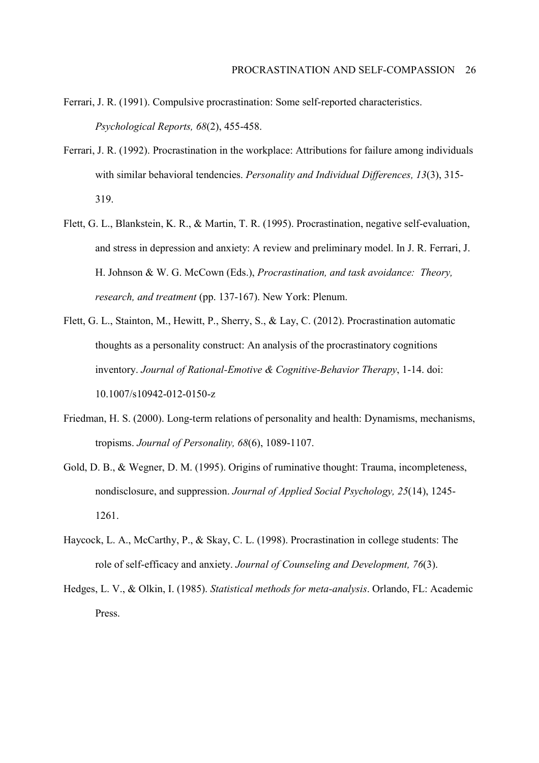- Ferrari, J. R. (1991). Compulsive procrastination: Some self-reported characteristics. *Psychological Reports, 68*(2), 455-458.
- Ferrari, J. R. (1992). Procrastination in the workplace: Attributions for failure among individuals with similar behavioral tendencies. *Personality and Individual Differences, 13*(3), 315- 319.
- Flett, G. L., Blankstein, K. R., & Martin, T. R. (1995). Procrastination, negative self-evaluation, and stress in depression and anxiety: A review and preliminary model. In J. R. Ferrari, J. H. Johnson & W. G. McCown (Eds.), *Procrastination, and task avoidance: Theory, research, and treatment* (pp. 137-167). New York: Plenum.
- Flett, G. L., Stainton, M., Hewitt, P., Sherry, S., & Lay, C. (2012). Procrastination automatic thoughts as a personality construct: An analysis of the procrastinatory cognitions inventory. *Journal of Rational-Emotive & Cognitive-Behavior Therapy*, 1-14. doi: 10.1007/s10942-012-0150-z
- Friedman, H. S. (2000). Long-term relations of personality and health: Dynamisms, mechanisms, tropisms. *Journal of Personality, 68*(6), 1089-1107.
- Gold, D. B., & Wegner, D. M. (1995). Origins of ruminative thought: Trauma, incompleteness, nondisclosure, and suppression. *Journal of Applied Social Psychology, 25*(14), 1245- 1261.
- Haycock, L. A., McCarthy, P., & Skay, C. L. (1998). Procrastination in college students: The role of self-efficacy and anxiety. *Journal of Counseling and Development, 76*(3).
- Hedges, L. V., & Olkin, I. (1985). *Statistical methods for meta-analysis*. Orlando, FL: Academic Press.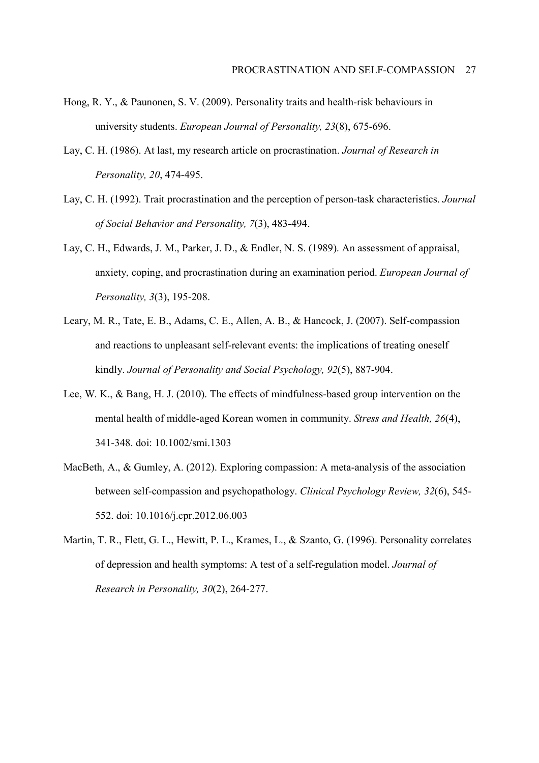- Hong, R. Y., & Paunonen, S. V. (2009). Personality traits and health-risk behaviours in university students. *European Journal of Personality, 23*(8), 675-696.
- Lay, C. H. (1986). At last, my research article on procrastination. *Journal of Research in Personality, 20*, 474-495.
- Lay, C. H. (1992). Trait procrastination and the perception of person-task characteristics. *Journal of Social Behavior and Personality, 7*(3), 483-494.
- Lay, C. H., Edwards, J. M., Parker, J. D., & Endler, N. S. (1989). An assessment of appraisal, anxiety, coping, and procrastination during an examination period. *European Journal of Personality, 3*(3), 195-208.
- Leary, M. R., Tate, E. B., Adams, C. E., Allen, A. B., & Hancock, J. (2007). Self-compassion and reactions to unpleasant self-relevant events: the implications of treating oneself kindly. *Journal of Personality and Social Psychology, 92*(5), 887-904.
- Lee, W. K., & Bang, H. J. (2010). The effects of mindfulness-based group intervention on the mental health of middle-aged Korean women in community. *Stress and Health, 26*(4), 341-348. doi: 10.1002/smi.1303
- MacBeth, A., & Gumley, A. (2012). Exploring compassion: A meta-analysis of the association between self-compassion and psychopathology. *Clinical Psychology Review, 32*(6), 545- 552. doi: 10.1016/j.cpr.2012.06.003
- Martin, T. R., Flett, G. L., Hewitt, P. L., Krames, L., & Szanto, G. (1996). Personality correlates of depression and health symptoms: A test of a self-regulation model. *Journal of Research in Personality, 30*(2), 264-277.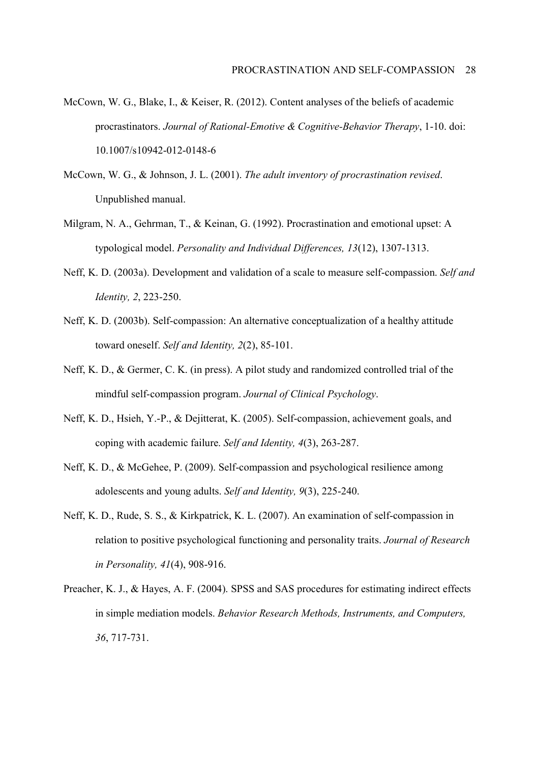- McCown, W. G., Blake, I., & Keiser, R. (2012). Content analyses of the beliefs of academic procrastinators. *Journal of Rational-Emotive & Cognitive-Behavior Therapy*, 1-10. doi: 10.1007/s10942-012-0148-6
- McCown, W. G., & Johnson, J. L. (2001). *The adult inventory of procrastination revised*. Unpublished manual.
- Milgram, N. A., Gehrman, T., & Keinan, G. (1992). Procrastination and emotional upset: A typological model. *Personality and Individual Differences, 13*(12), 1307-1313.
- Neff, K. D. (2003a). Development and validation of a scale to measure self-compassion. *Self and Identity, 2*, 223-250.
- Neff, K. D. (2003b). Self-compassion: An alternative conceptualization of a healthy attitude toward oneself. *Self and Identity, 2*(2), 85-101.
- Neff, K. D., & Germer, C. K. (in press). A pilot study and randomized controlled trial of the mindful self-compassion program. *Journal of Clinical Psychology*.
- Neff, K. D., Hsieh, Y.-P., & Dejitterat, K. (2005). Self-compassion, achievement goals, and coping with academic failure. *Self and Identity, 4*(3), 263-287.
- Neff, K. D., & McGehee, P. (2009). Self-compassion and psychological resilience among adolescents and young adults. *Self and Identity, 9*(3), 225-240.
- Neff, K. D., Rude, S. S., & Kirkpatrick, K. L. (2007). An examination of self-compassion in relation to positive psychological functioning and personality traits. *Journal of Research in Personality, 41*(4), 908-916.
- Preacher, K. J., & Hayes, A. F. (2004). SPSS and SAS procedures for estimating indirect effects in simple mediation models. *Behavior Research Methods, Instruments, and Computers, 36*, 717-731.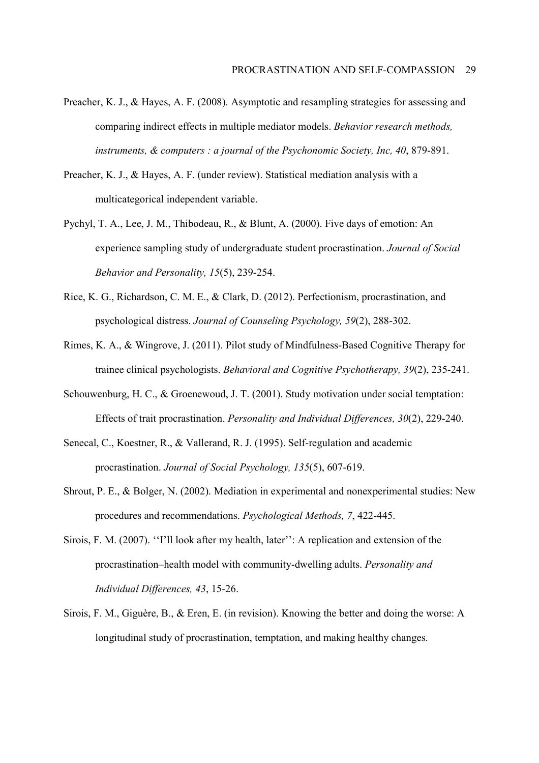- Preacher, K. J., & Hayes, A. F. (2008). Asymptotic and resampling strategies for assessing and comparing indirect effects in multiple mediator models. *Behavior research methods, instruments, & computers : a journal of the Psychonomic Society, Inc, 40*, 879-891.
- Preacher, K. J., & Hayes, A. F. (under review). Statistical mediation analysis with a multicategorical independent variable.
- Pychyl, T. A., Lee, J. M., Thibodeau, R., & Blunt, A. (2000). Five days of emotion: An experience sampling study of undergraduate student procrastination. *Journal of Social Behavior and Personality, 15*(5), 239-254.
- Rice, K. G., Richardson, C. M. E., & Clark, D. (2012). Perfectionism, procrastination, and psychological distress. *Journal of Counseling Psychology, 59*(2), 288-302.
- Rimes, K. A., & Wingrove, J. (2011). Pilot study of Mindfulness-Based Cognitive Therapy for trainee clinical psychologists. *Behavioral and Cognitive Psychotherapy, 39*(2), 235-241.
- Schouwenburg, H. C., & Groenewoud, J. T. (2001). Study motivation under social temptation: Effects of trait procrastination. *Personality and Individual Differences, 30*(2), 229-240.
- Senecal, C., Koestner, R., & Vallerand, R. J. (1995). Self-regulation and academic procrastination. *Journal of Social Psychology, 135*(5), 607-619.
- Shrout, P. E., & Bolger, N. (2002). Mediation in experimental and nonexperimental studies: New procedures and recommendations. *Psychological Methods, 7*, 422-445.
- Sirois, F. M. (2007). "I'll look after my health, later": A replication and extension of the procrastination–health model with community-dwelling adults. *Personality and Individual Differences, 43*, 15-26.
- Sirois, F. M., Giguère, B., & Eren, E. (in revision). Knowing the better and doing the worse: A longitudinal study of procrastination, temptation, and making healthy changes.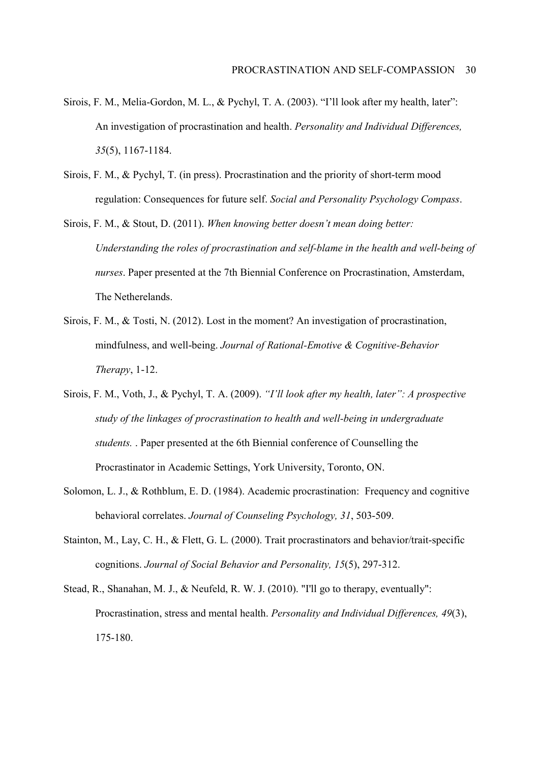- Sirois, F. M., Melia-Gordon, M. L., & Pychyl, T. A. (2003). "I'll look after my health, later": An investigation of procrastination and health. *Personality and Individual Differences, 35*(5), 1167-1184.
- Sirois, F. M., & Pychyl, T. (in press). Procrastination and the priority of short-term mood regulation: Consequences for future self. *Social and Personality Psychology Compass*.
- Sirois, F. M., & Stout, D. (2011). *When knowing better doesn't mean doing better: Understanding the roles of procrastination and self-blame in the health and well-being of nurses*. Paper presented at the 7th Biennial Conference on Procrastination, Amsterdam, The Netherelands.
- Sirois, F. M., & Tosti, N. (2012). Lost in the moment? An investigation of procrastination, mindfulness, and well-being. *Journal of Rational-Emotive & Cognitive-Behavior Therapy*, 1-12.
- Sirois, F. M., Voth, J., & Pychyl, T. A. (2009). *ìIíll look after my health, laterî: A prospective study of the linkages of procrastination to health and well-being in undergraduate students.* . Paper presented at the 6th Biennial conference of Counselling the Procrastinator in Academic Settings, York University, Toronto, ON.
- Solomon, L. J., & Rothblum, E. D. (1984). Academic procrastination: Frequency and cognitive behavioral correlates. *Journal of Counseling Psychology, 31*, 503-509.
- Stainton, M., Lay, C. H., & Flett, G. L. (2000). Trait procrastinators and behavior/trait-specific cognitions. *Journal of Social Behavior and Personality, 15*(5), 297-312.
- Stead, R., Shanahan, M. J., & Neufeld, R. W. J. (2010). "I'll go to therapy, eventually": Procrastination, stress and mental health. *Personality and Individual Differences, 49*(3), 175-180.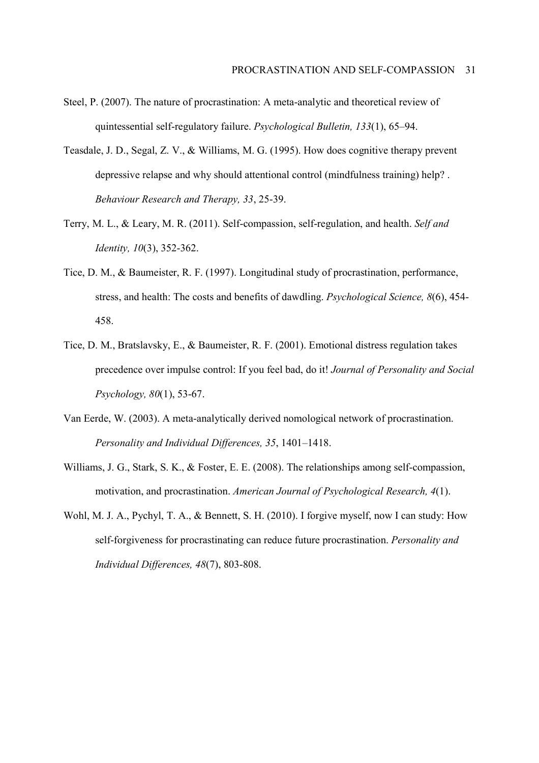- Steel, P. (2007). The nature of procrastination: A meta-analytic and theoretical review of quintessential self-regulatory failure. *Psychological Bulletin, 133*(1), 65–94.
- Teasdale, J. D., Segal, Z. V., & Williams, M. G. (1995). How does cognitive therapy prevent depressive relapse and why should attentional control (mindfulness training) help? . *Behaviour Research and Therapy, 33*, 25-39.
- Terry, M. L., & Leary, M. R. (2011). Self-compassion, self-regulation, and health. *Self and Identity, 10*(3), 352-362.
- Tice, D. M., & Baumeister, R. F. (1997). Longitudinal study of procrastination, performance, stress, and health: The costs and benefits of dawdling. *Psychological Science, 8*(6), 454- 458.
- Tice, D. M., Bratslavsky, E., & Baumeister, R. F. (2001). Emotional distress regulation takes precedence over impulse control: If you feel bad, do it! *Journal of Personality and Social Psychology, 80*(1), 53-67.
- Van Eerde, W. (2003). A meta-analytically derived nomological network of procrastination. *Personality and Individual Differences, 35, 1401-1418.*
- Williams, J. G., Stark, S. K., & Foster, E. E. (2008). The relationships among self-compassion, motivation, and procrastination. *American Journal of Psychological Research, 4*(1).
- Wohl, M. J. A., Pychyl, T. A., & Bennett, S. H. (2010). I forgive myself, now I can study: How self-forgiveness for procrastinating can reduce future procrastination. *Personality and Individual Differences, 48*(7), 803-808.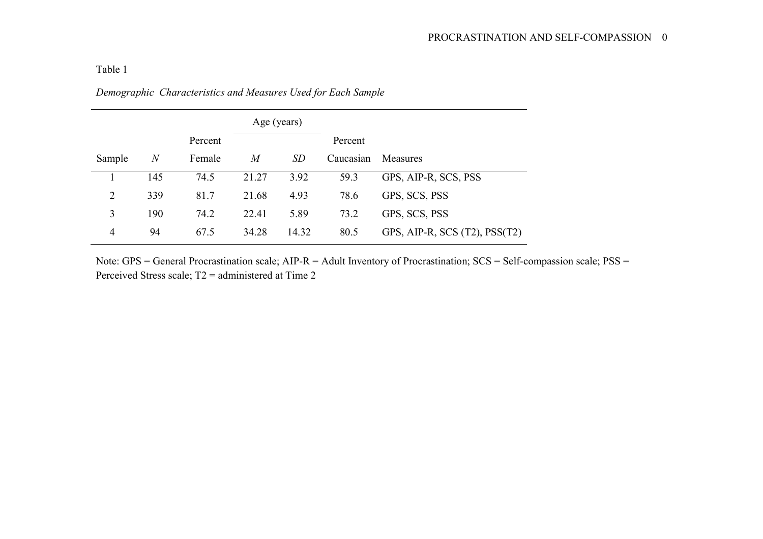# Table 1

| Demographic Characteristics and Measures Used for Each Sample |  |  |
|---------------------------------------------------------------|--|--|
|                                                               |  |  |

|                |                  |         |                | Age (years) |           |                               |
|----------------|------------------|---------|----------------|-------------|-----------|-------------------------------|
|                |                  | Percent |                |             |           |                               |
| Sample         | $\boldsymbol{N}$ | Female  | $\overline{M}$ | SD          | Caucasian | <b>Measures</b>               |
|                | 145              | 74.5    | 21.27          | 3.92        | 59.3      | GPS, AIP-R, SCS, PSS          |
| $\overline{2}$ | 339              | 81.7    | 21.68          | 4.93        | 78.6      | GPS, SCS, PSS                 |
| 3              | 190              | 74.2    | 22.41          | 5.89        | 73.2      | GPS, SCS, PSS                 |
| 4              | 94               | 67.5    | 34.28          | 14.32       | 80.5      | GPS, AIP-R, SCS (T2), PSS(T2) |

Note: GPS = General Procrastination scale; AIP-R = Adult Inventory of Procrastination; SCS = Self-compassion scale; PSS = Perceived Stress scale; T2 = administered at Time 2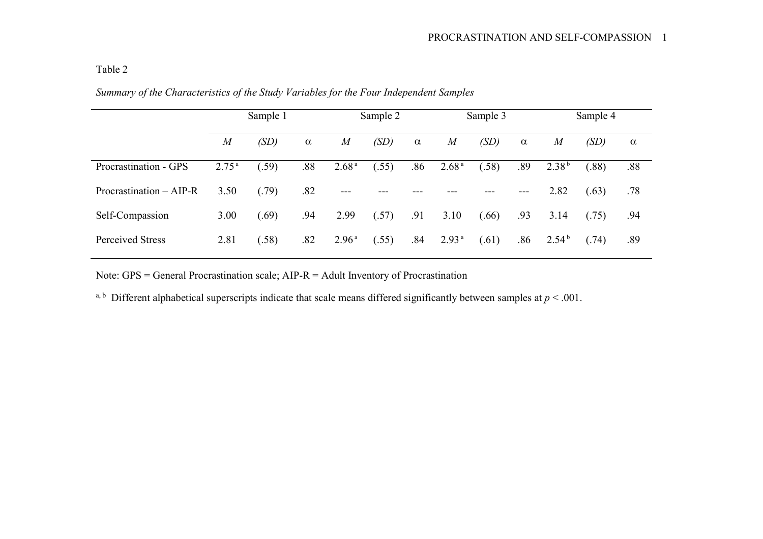# Table 2

|                           | Sample 1          |       | Sample 2 |                   |       | Sample 3 |                   |       | Sample 4 |                   |       |          |
|---------------------------|-------------------|-------|----------|-------------------|-------|----------|-------------------|-------|----------|-------------------|-------|----------|
|                           | $\overline{M}$    | (SD)  | $\alpha$ | $\overline{M}$    | (SD)  | $\alpha$ | $\overline{M}$    | (SD)  | $\alpha$ | $\boldsymbol{M}$  | (SD)  | $\alpha$ |
| Procrastination - GPS     | 2.75 <sup>a</sup> | .59)  | .88      | 2.68 <sup>a</sup> | (.55) | .86      | 2.68 <sup>a</sup> | (.58) | .89      | 2.38 <sup>b</sup> | (.88) | .88      |
| Procrastination $-$ AIP-R | 3.50              | (.79) | .82      | $---$             | ---   |          |                   |       | $---$    | 2.82              | (.63) | .78      |
| Self-Compassion           | 3.00              | (.69) | .94      | 2.99              | (.57) | .91      | 3.10              | (.66) | .93      | 3.14              | (.75) | .94      |
| <b>Perceived Stress</b>   | 2.81              | .58)  | .82      | 2.96 <sup>a</sup> | (.55) | .84      | 2.93 <sup>a</sup> | (.61) | .86      | 2.54 <sup>b</sup> | (.74) | .89      |

*Summary of the Characteristics of the Study Variables for the Four Independent Samples* 

Note: GPS = General Procrastination scale; AIP-R = Adult Inventory of Procrastination

a, b Different alphabetical superscripts indicate that scale means differed significantly between samples at  $p < .001$ .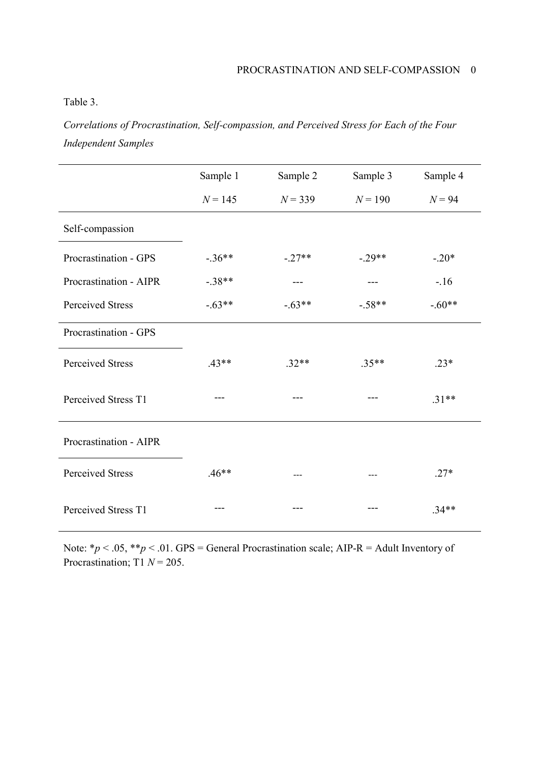Table 3.

*Correlations of Procrastination, Self-compassion, and Perceived Stress for Each of the Four Independent Samples* 

|                         | Sample 1  | Sample 2  | Sample 3  | Sample 4 |
|-------------------------|-----------|-----------|-----------|----------|
|                         | $N = 145$ | $N = 339$ | $N = 190$ | $N = 94$ |
| Self-compassion         |           |           |           |          |
| Procrastination - GPS   | $-.36**$  | $-.27**$  | $-.29**$  | $-.20*$  |
| Procrastination - AIPR  | $-.38**$  |           |           | $-16$    |
| <b>Perceived Stress</b> | $-.63**$  | $-.63**$  | $-.58**$  | $-.60**$ |
| Procrastination - GPS   |           |           |           |          |
| Perceived Stress        | $.43**$   | $.32**$   | $.35**$   | $.23*$   |
| Perceived Stress T1     |           |           |           | $.31**$  |
| Procrastination - AIPR  |           |           |           |          |
| <b>Perceived Stress</b> | $.46**$   |           |           | $.27*$   |
| Perceived Stress T1     |           |           |           | $.34**$  |

Note: \* $p < .05$ , \*\* $p < .01$ . GPS = General Procrastination scale; AIP-R = Adult Inventory of Procrastination; T1  $N = 205$ .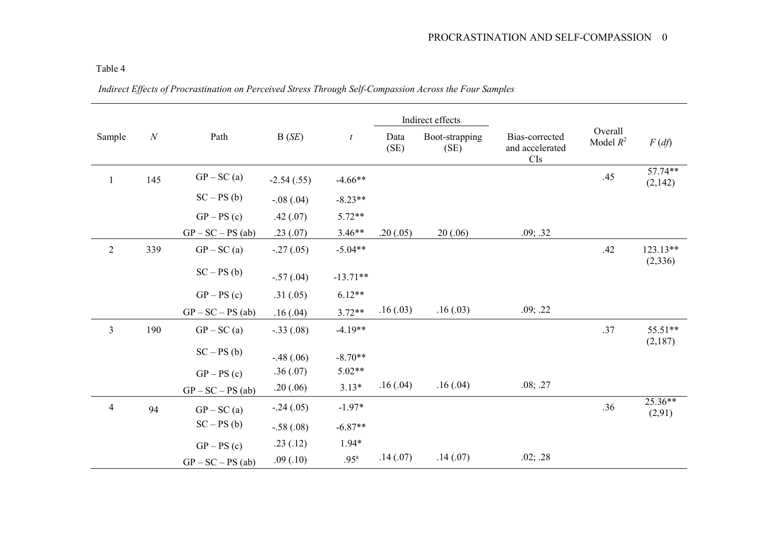|                |          |                     |              |                  |              | Indirect effects       |                                          |                        |                               |
|----------------|----------|---------------------|--------------|------------------|--------------|------------------------|------------------------------------------|------------------------|-------------------------------|
| Sample         | $\cal N$ | Path                | B(SE)        | $\boldsymbol{t}$ | Data<br>(SE) | Boot-strapping<br>(SE) | Bias-corrected<br>and accelerated<br>CIs | Overall<br>Model $R^2$ | $F\left(\frac{df}{dx}\right)$ |
| $\mathbf{1}$   | 145      | $GP - SC(a)$        | $-2.54(.55)$ | $-4.66**$        |              |                        |                                          | .45                    | 57.74**<br>(2,142)            |
|                |          | $SC-PS(b)$          | $-.08(.04)$  | $-8.23**$        |              |                        |                                          |                        |                               |
|                |          | $GP - PS(c)$        | .42(.07)     | $5.72**$         |              |                        |                                          |                        |                               |
|                |          | $GP - SC - PS$ (ab) | .23(.07)     | $3.46**$         | .20(.05)     | 20(.06)                | .09; .32                                 |                        |                               |
| $\overline{2}$ | 339      | $GP - SC(a)$        | $-.27(.05)$  | $-5.04**$        |              |                        |                                          | .42                    | 123.13**<br>(2,336)           |
|                |          | $SC-PS(b)$          | $-.57(.04)$  | $-13.71**$       |              |                        |                                          |                        |                               |
|                |          | $GP - PS(c)$        | .31(.05)     | $6.12**$         |              |                        |                                          |                        |                               |
|                |          | $GP - SC - PS$ (ab) | .16(.04)     | $3.72**$         | .16(.03)     | .16(.03)               | .09; .22                                 |                        |                               |
| $\overline{3}$ | 190      | $GP - SC(a)$        | $-.33(.08)$  | $-4.19**$        |              |                        |                                          | .37                    | 55.51**<br>(2,187)            |
|                |          | $SC - PS(b)$        | $-.48(.06)$  | $-8.70**$        |              |                        |                                          |                        |                               |
|                |          | $GP - PS(c)$        | .36(.07)     | $5.02**$         |              |                        |                                          |                        |                               |
|                |          | $GP - SC - PS$ (ab) | .20(.06)     | $3.13*$          | .16(.04)     | .16(.04)               | .08; .27                                 |                        |                               |
| $\overline{4}$ | 94       | $GP - SC(a)$        | $-.24(.05)$  | $-1.97*$         |              |                        |                                          | .36                    | $25.36**$<br>(2,91)           |
|                |          | $SC - PS(b)$        | $-.58(.08)$  | $-6.87**$        |              |                        |                                          |                        |                               |
|                |          | $GP - PS(c)$        | .23(.12)     | $1.94*$          |              |                        |                                          |                        |                               |
|                |          | $GP - SC - PS$ (ab) | .09(.10)     | .95 <sup>a</sup> | .14(.07)     | .14(.07)               | .02; .28                                 |                        |                               |

Table 4

*Indirect Effects of Procrastination on Perceived Stress Through Self-Compassion Across the Four Samples*